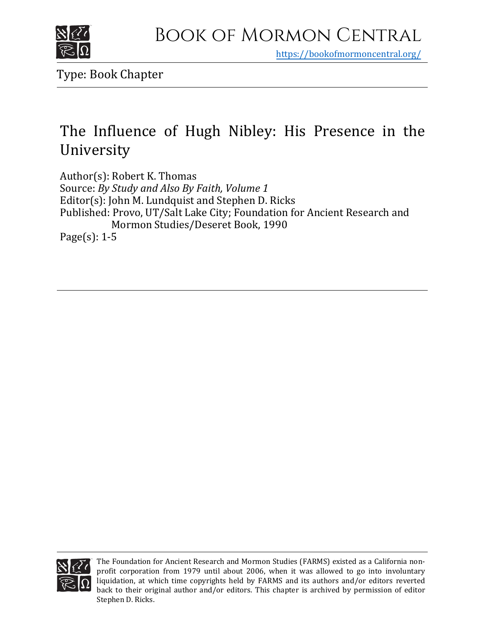

https[://bookofmormoncentral.org/](https://bookofmormoncentral.org/)

Type: Book Chapter

## The Influence of Hugh Nibley: His Presence in the University

Author(s): Robert K. Thomas Source: *By Study and Also By Faith, Volume 1* Editor(s): John M. Lundquist and Stephen D. Ricks Published: Provo, UT/Salt Lake City; Foundation for Ancient Research and Mormon Studies/Deseret Book, 1990 Page(s): 1-5



The Foundation for Ancient Research and Mormon Studies (FARMS) existed as a California nonprofit corporation from 1979 until about 2006, when it was allowed to go into involuntary liquidation, at which time copyrights held by FARMS and its authors and/or editors reverted back to their original author and/or editors. This chapter is archived by permission of editor Stephen D. Ricks.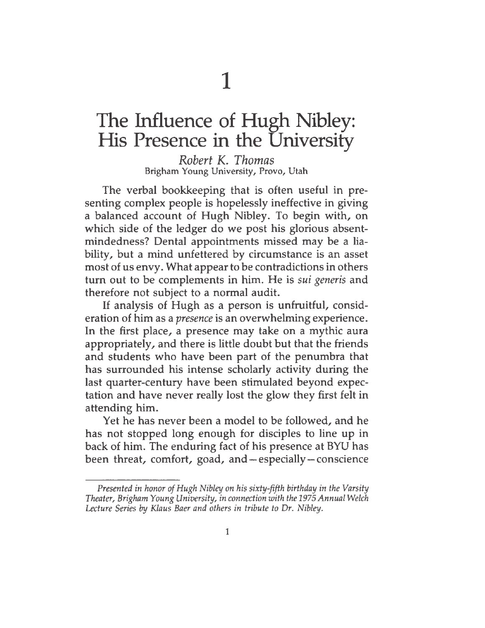1

## The Influence of Hugh Nibley: His Presence in the University

*Robert K. Thomas* Brigham Young University, Provo, Utah

The verbal bookkeeping that is often useful in presenting complex people is hopelessly ineffective in giving a balanced account of Hugh Nibley. To begin with, on which side of the ledger do we post his glorious absentmindedness? Dental appointments missed may be a liability, but a mind unfettered by circumstance is an asset most of us envy. What appear to be contradictions in others turn out to be complements in him. He is *sui generis* and therefore not subject to a normal audit.

If analysis of Hugh as a person is unfruitful, consideration of him as a *presence* is an overwhelming experience. In the first place, a presence may take on a mythic aura appropriately, and there is little doubt but that the friends and students who have been part of the penumbra that has surrounded his intense scholarly activity during the last quarter-century have been stimulated beyond expectation and have never really lost the glow they first felt in attending him.

Yet he has never been a model to be followed, and he has not stopped long enough for disciples to line up in back of him. The enduring fact of his presence at BYU has been threat, comfort, goad, and — especially — conscience

*Presented in honor ofHugh Nibley on his sixty-fifth birthday in the Varsity Theater, Brigham Young University, in connection with the 1975Annual Welch Lecture Series by Klaus Baer and others in tribute to Dr. Nibley.*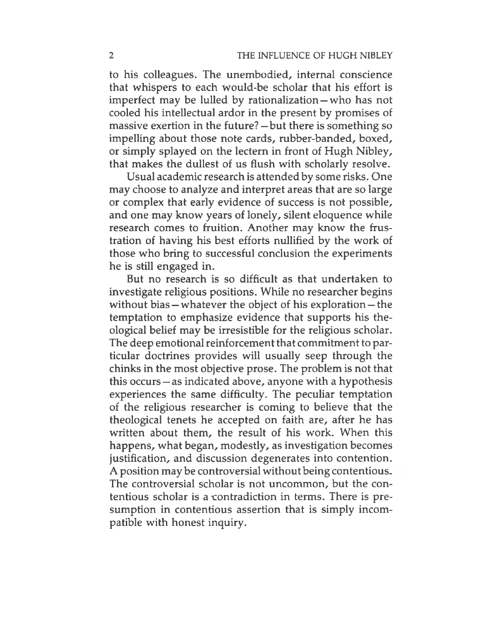to his colleagues. The unembodied, internal conscience that whispers to each would-be scholar that his effort is imperfect may be lulled by rationalization — who has not cooled his intellectual ardor in the present by promises of massive exertion in the future? — but there is something so impelling about those note cards, rubber-banded, boxed, or simply splayed on the lectern in front of Hugh Nibley, that makes the dullest of us flush with scholarly resolve.

Usual academic research is attended by some risks. One may choose to analyze and interpret areas that are so large or complex that early evidence of success is not possible, and one may know years of lonely, silent eloquence while research comes to fruition. Another may know the frustration of having his best efforts nullified by the work of those who bring to successful conclusion the experiments he is still engaged in.

But no research is so difficult as that undertaken to investigate religious positions. While no researcher begins without bias — whatever the object of his exploration — the temptation to emphasize evidence that supports his theological belief may be irresistible for the religious scholar. The deep emotional reinforcement that commitment to particular doctrines provides will usually seep through the chinks in the most objective prose. The problem is not that this occurs — as indicated above, anyone with a hypothesis experiences the same difficulty. The peculiar temptation of the religious researcher is coming to believe that the theological tenets he accepted on faith are, after he has written about them, the result of his work. When this happens, what began, modestly, as investigation becomes justification, and discussion degenerates into contention. A position may be controversial without being contentious. The controversial scholar is not uncommon, but the contentious scholar is a contradiction in terms. There is presumption in contentious assertion that is simply incompatible with honest inquiry.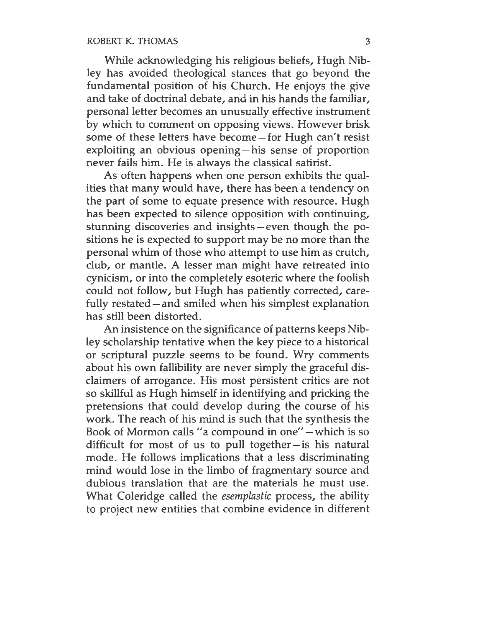While acknowledging his religious beliefs, Hugh Nibley has avoided theological stances that go beyond the fundamental position of his Church. He enjoys the give and take of doctrinal debate, and in his hands the familiar, personal letter becomes an unusually effective instrument by which to comment on opposing views. However brisk some of these letters have become — for Hugh can't resist exploiting an obvious opening—his sense of proportion never fails him. He is always the classical satirist.

As often happens when one person exhibits the qualities that many would have, there has been a tendency on the part of some to equate presence with resource. Hugh has been expected to silence opposition with continuing, stunning discoveries and insights — even though the positions he is expected to support may be no more than the personal whim of those who attempt to use him as crutch, club, or mantle. A lesser man might have retreated into cynicism, or into the completely esoteric where the foolish could not follow, but Hugh has patiently corrected, carefully restated — and smiled when his simplest explanation has still been distorted.

An insistence on the significance of patterns keeps Nibley scholarship tentative when the key piece to a historical or scriptural puzzle seems to be found. Wry comments about his own fallibility are never simply the graceful disclaimers of arrogance. His most persistent critics are not so skillful as Hugh himself in identifying and pricking the pretensions that could develop during the course of his work. The reach of his mind is such that the synthesis the Book of Mormon calls "a compound in one" — which is so difficult for most of us to pull together— is his natural mode. He follows implications that a less discriminating mind would lose in the limbo of fragmentary source and dubious translation that are the materials he must use. What Coleridge called the *esemplastic* process, the ability to project new entities that combine evidence in different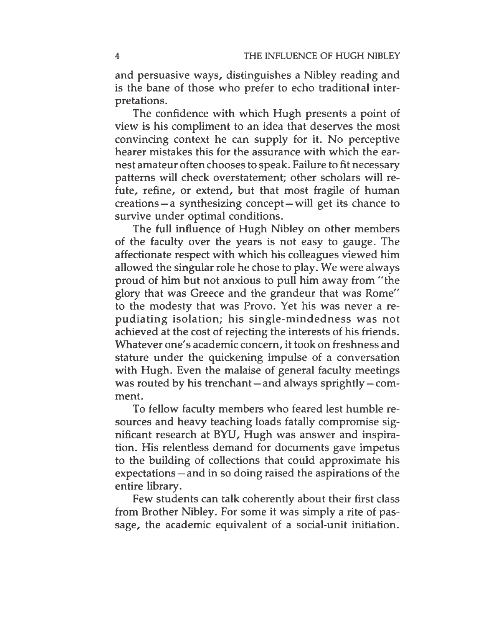and persuasive ways, distinguishes a Nibley reading and is the bane of those who prefer to echo traditional interpretations.

The confidence with which Hugh presents a point of view is his compliment to an idea that deserves the most convincing context he can supply for it. No perceptive hearer mistakes this for the assurance with which the earnest amateur often chooses to speak. Failure to fit necessary patterns will check overstatement; other scholars will refute, refine, or extend, but that most fragile of human creations— <sup>a</sup> synthesizing concept-will get its chance to survive under optimal conditions.

The full influence of Hugh Nibley on other members of the faculty over the years is not easy to gauge. The affectionate respect with which his colleagues viewed him allowed the singular role he chose to play. We were always proud of him but not anxious to pull him away from "the glory that was Greece and the grandeur that was Rome" to the modesty that was Provo. Yet his was never a repudiating isolation; his single-mindedness was not achieved at the cost of rejecting the interests of his friends. Whatever one's academic concern, it took on freshness and stature under the quickening impulse of a conversation with Hugh. Even the malaise of general faculty meetings was routed by his trenchant — and always sprightly — comment.

To fellow faculty members who feared lest humble resources and heavy teaching loads fatally compromise significant research at BYU, Hugh was answer and inspiration. His relentless demand for documents gave impetus to the building of collections that could approximate his expectations — and in so doing raised the aspirations of the entire library.

Few students can talk coherently about their first class from Brother Nibley. For some it was simply a rite of passage, the academic equivalent of a social-unit initiation.